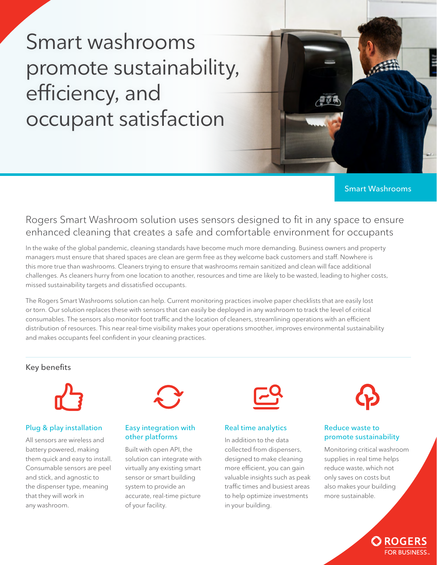Smart washrooms promote sustainability, efficiency, and occupant satisfaction

**Smart Washrooms**

# Rogers Smart Washroom solution uses sensors designed to fit in any space to ensure enhanced cleaning that creates a safe and comfortable environment for occupants

In the wake of the global pandemic, cleaning standards have become much more demanding. Business owners and property managers must ensure that shared spaces are clean are germ free as they welcome back customers and staff. Nowhere is this more true than washrooms. Cleaners trying to ensure that washrooms remain sanitized and clean will face additional challenges. As cleaners hurry from one location to another, resources and time are likely to be wasted, leading to higher costs, missed sustainability targets and dissatisfied occupants.

The Rogers Smart Washrooms solution can help. Current monitoring practices involve paper checklists that are easily lost or torn. Our solution replaces these with sensors that can easily be deployed in any washroom to track the level of critical consumables. The sensors also monitor foot traffic and the location of cleaners, streamlining operations with an efficient distribution of resources. This near real-time visibility makes your operations smoother, improves environmental sustainability and makes occupants feel confident in your cleaning practices.

#### **Key benefits**



### **Plug & play installation**

All sensors are wireless and battery powered, making them quick and easy to install. Consumable sensors are peel and stick, and agnostic to the dispenser type, meaning that they will work in any washroom.



#### **Easy integration with other platforms**

Built with open API, the solution can integrate with virtually any existing smart sensor or smart building system to provide an accurate, real-time picture of your facility.



#### **Real time analytics**

In addition to the data collected from dispensers, designed to make cleaning more efficient, you can gain valuable insights such as peak traffic times and busiest areas to help optimize investments in your building.



#### **Reduce waste to promote sustainability**

Monitoring critical washroom supplies in real time helps reduce waste, which not only saves on costs but also makes your building more sustainable.

**OROGERS**